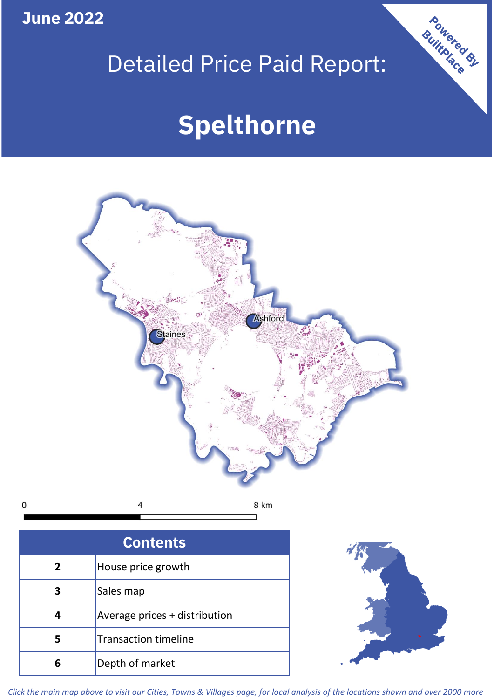**June 2022**

## Detailed Price Paid Report:

# **Spelthorne**



| <b>Contents</b> |                               |  |  |  |
|-----------------|-------------------------------|--|--|--|
| $\overline{2}$  | House price growth            |  |  |  |
| 3               | Sales map                     |  |  |  |
| Δ               | Average prices + distribution |  |  |  |
| 5               | <b>Transaction timeline</b>   |  |  |  |
| 6               | Depth of market               |  |  |  |



Powered By

*Click the main map above to visit our Cities, Towns & Villages page, for local analysis of the locations shown and over 2000 more*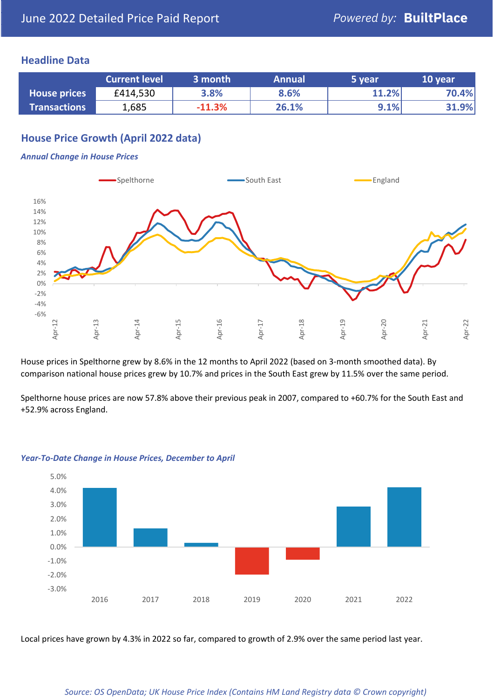#### **Headline Data**

|                     | <b>Current level</b> | 3 month  | <b>Annual</b> | 5 year | 10 year |
|---------------------|----------------------|----------|---------------|--------|---------|
| <b>House prices</b> | £414,530             | 3.8%     | 8.6%          | 11.2%  | 70.4%   |
| <b>Transactions</b> | 1,685                | $-11.3%$ | 26.1%         | 9.1%   | 31.9%   |

## **House Price Growth (April 2022 data)**

#### *Annual Change in House Prices*



House prices in Spelthorne grew by 8.6% in the 12 months to April 2022 (based on 3-month smoothed data). By comparison national house prices grew by 10.7% and prices in the South East grew by 11.5% over the same period.

Spelthorne house prices are now 57.8% above their previous peak in 2007, compared to +60.7% for the South East and +52.9% across England.



#### *Year-To-Date Change in House Prices, December to April*

Local prices have grown by 4.3% in 2022 so far, compared to growth of 2.9% over the same period last year.

#### *Source: OS OpenData; UK House Price Index (Contains HM Land Registry data © Crown copyright)*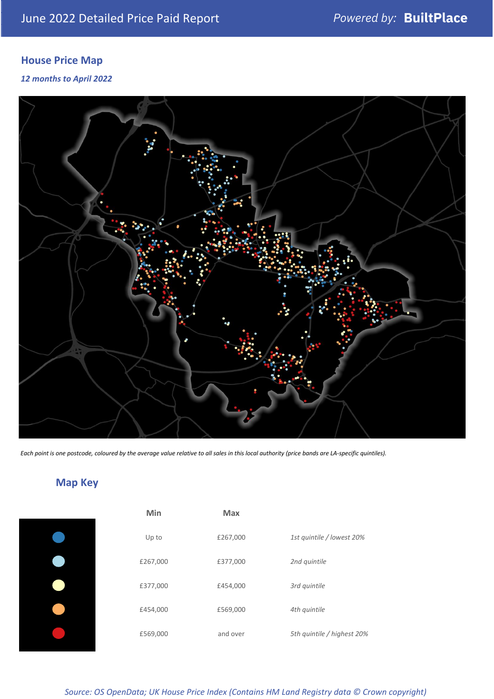## **House Price Map**

*12 months to April 2022*



*Each point is one postcode, coloured by the average value relative to all sales in this local authority (price bands are LA-specific quintiles).*

## **Map Key**

| Min      | <b>Max</b> |                            |
|----------|------------|----------------------------|
| Up to    | £267,000   | 1st quintile / lowest 20%  |
| £267,000 | £377,000   | 2nd quintile               |
| £377,000 | £454,000   | 3rd quintile               |
| £454,000 | £569,000   | 4th quintile               |
| £569,000 | and over   | 5th quintile / highest 20% |
|          |            |                            |

*Source: OS OpenData; UK House Price Index (Contains HM Land Registry data © Crown copyright)*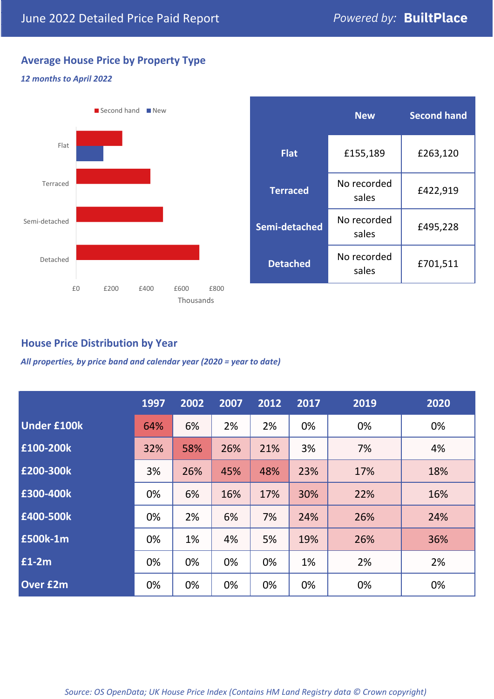## **Average House Price by Property Type**

#### *12 months to April 2022*



|                 | <b>New</b>           | <b>Second hand</b> |  |  |
|-----------------|----------------------|--------------------|--|--|
| <b>Flat</b>     | £155,189             | £263,120           |  |  |
| <b>Terraced</b> | No recorded<br>sales | £422,919           |  |  |
| Semi-detached   | No recorded<br>sales | £495,228           |  |  |
| <b>Detached</b> | No recorded<br>sales | £701,511           |  |  |

## **House Price Distribution by Year**

*All properties, by price band and calendar year (2020 = year to date)*

|                    | 1997 | 2002 | 2007 | 2012 | 2017 | 2019 | 2020 |
|--------------------|------|------|------|------|------|------|------|
| <b>Under £100k</b> | 64%  | 6%   | 2%   | 2%   | 0%   | 0%   | 0%   |
| £100-200k          | 32%  | 58%  | 26%  | 21%  | 3%   | 7%   | 4%   |
| E200-300k          | 3%   | 26%  | 45%  | 48%  | 23%  | 17%  | 18%  |
| £300-400k          | 0%   | 6%   | 16%  | 17%  | 30%  | 22%  | 16%  |
| £400-500k          | 0%   | 2%   | 6%   | 7%   | 24%  | 26%  | 24%  |
| <b>£500k-1m</b>    | 0%   | 1%   | 4%   | 5%   | 19%  | 26%  | 36%  |
| £1-2m              | 0%   | 0%   | 0%   | 0%   | 1%   | 2%   | 2%   |
| <b>Over £2m</b>    | 0%   | 0%   | 0%   | 0%   | 0%   | 0%   | 0%   |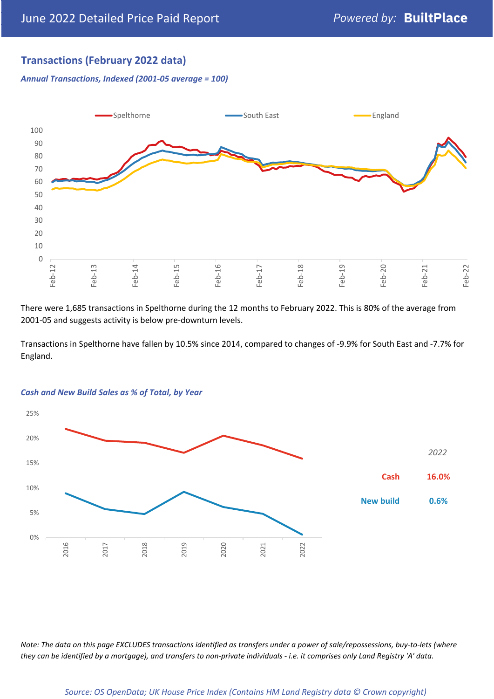## **Transactions (February 2022 data)**

*Annual Transactions, Indexed (2001-05 average = 100)*



There were 1,685 transactions in Spelthorne during the 12 months to February 2022. This is 80% of the average from 2001-05 and suggests activity is below pre-downturn levels.

Transactions in Spelthorne have fallen by 10.5% since 2014, compared to changes of -9.9% for South East and -7.7% for England.



#### *Cash and New Build Sales as % of Total, by Year*

*Note: The data on this page EXCLUDES transactions identified as transfers under a power of sale/repossessions, buy-to-lets (where they can be identified by a mortgage), and transfers to non-private individuals - i.e. it comprises only Land Registry 'A' data.*